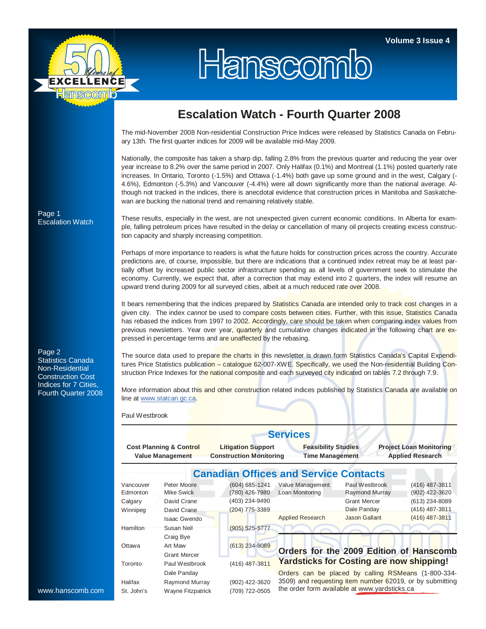

## Hanscomb

## **Escalation Watch - Fourth Quarter 2008**

The mid-November 2008 Non-residential Construction Price Indices were released by Statistics Canada on February 13th. The first quarter indices for 2009 will be available mid-May 2009.

Nationally, the composite has taken a sharp dip, falling 2.8% from the previous quarter and reducing the year over year increase to 8.2% over the same period in 2007. Only Halifax (0.1%) and Montreal (1.1%) posted quarterly rate increases. In Ontario, Toronto (-1.5%) and Ottawa (-1.4%) both gave up some ground and in the west, Calgary (- 4.6%), Edmonton (-5.3%) and Vancouver (-4.4%) were all down significantly more than the national average. Although not tracked in the indices, there is anecdotal evidence that construction prices in Manitoba and Saskatchewan are bucking the national trend and remaining relatively stable.

These results, especially in the west, are not unexpected given current economic conditions. In Alberta for example, falling petroleum prices have resulted in the delay or cancellation of many oil projects creating excess construction capacity and sharply increasing competition.

Perhaps of more importance to readers is what the future holds for construction prices across the country. Accurate predictions are, of course, impossible, but there are indications that a continued index retreat may be at least partially offset by increased public sector infrastructure spending as all levels of government seek to stimulate the economy. Currently, we expect that, after a correction that may extend into 2 quarters, the index will resume an upward trend during 2009 for all surveyed cities, albeit at a much reduced rate over 2008.

It bears remembering that the indices prepared by Statistics Canada are intended only to track cost changes in a given city. The index *cannot* be used to compare costs between cities. Further, with this issue, Statistics Canada has rebased the indices from 1997 to 2002. Accordingly, care should be taken when comparing index values from previous newsletters. Year over year, quarterly and cumulative changes indicated in the following chart are expressed in percentage terms and are unaffected by the rebasing.

Page 2 Statistics Canada Non-Residential Construction Cost Indices for 7 Cities, Fourth Quarter 2008

The source data used to prepare the charts in this newsletter is drawn form Statistics Canada's Capital Expenditures Price Statistics publication – catalogue 62-007-XWE. Specifically, we used the Non-residential Building Construction Price Indexes for the national composite and each surveyed city indicated on tables 7.2 through 7.9.

More information about this and other construction related indices published by Statistics Canada are available on line at www.statcan.gc.ca.

Paul Westbrook

|                                                               |                           |                                                             | <b>Services</b>                                      |                                                          |                                                           |  |  |  |  |  |
|---------------------------------------------------------------|---------------------------|-------------------------------------------------------------|------------------------------------------------------|----------------------------------------------------------|-----------------------------------------------------------|--|--|--|--|--|
| <b>Cost Planning &amp; Control</b><br><b>Value Management</b> |                           | <b>Litigation Support</b><br><b>Construction Monitoring</b> | <b>Feasibility Studies</b><br><b>Time Management</b> |                                                          | <b>Project Loan Monitoring</b><br><b>Applied Research</b> |  |  |  |  |  |
|                                                               |                           | <b>Canadian Offices and Service Contacts</b>                |                                                      |                                                          |                                                           |  |  |  |  |  |
| Vancouver<br>Edmonton                                         | Peter Moore<br>Mike Swick | (604) 685-1241<br>(780) 426-7980                            | Value Management<br>Loan Monitoring                  | Paul Westbrook<br>Raymond Murray                         | (416) 487-3811<br>(902) 422-3620                          |  |  |  |  |  |
| Calgary                                                       | David Crane               | (403) 234-9490                                              |                                                      | <b>Grant Mercer</b>                                      | (613) 234-8089                                            |  |  |  |  |  |
| Winnipeg                                                      | David Crane               | (204) 775-3389                                              |                                                      | Dale Panday                                              | (416) 487-3811                                            |  |  |  |  |  |
|                                                               | Isaac Gwendo              |                                                             | <b>Applied Research</b>                              | Jason Gallant                                            | (416) 487-3811                                            |  |  |  |  |  |
| Hamilton                                                      | Susan Neil                | (905) 525-5777                                              |                                                      |                                                          |                                                           |  |  |  |  |  |
|                                                               | Craig Bye                 |                                                             |                                                      |                                                          |                                                           |  |  |  |  |  |
| Ottawa                                                        | Art Maw                   | $(613)$ 234-8089                                            |                                                      |                                                          |                                                           |  |  |  |  |  |
|                                                               | <b>Grant Mercer</b>       |                                                             |                                                      | Orders for the 2009 Edition of Hanscomb                  |                                                           |  |  |  |  |  |
| Toronto                                                       | Paul Westbrook            | (416) 487-3811                                              | <b>Yardsticks for Costing are now shipping!</b>      |                                                          |                                                           |  |  |  |  |  |
|                                                               | Dale Panday               |                                                             |                                                      | Orders can be placed by calling RSMeans (1-800-334-      |                                                           |  |  |  |  |  |
| Halifax                                                       | Raymond Murray            | (902) 422-3620                                              |                                                      | 3509) and requesting item number 62019, or by submitting |                                                           |  |  |  |  |  |
| St. John's                                                    | Wayne Fitzpatrick         | (709) 722-0505                                              |                                                      | the order form available at www.yardsticks.ca            |                                                           |  |  |  |  |  |

Page 1 Escalation Watch

www.hanscomb.com